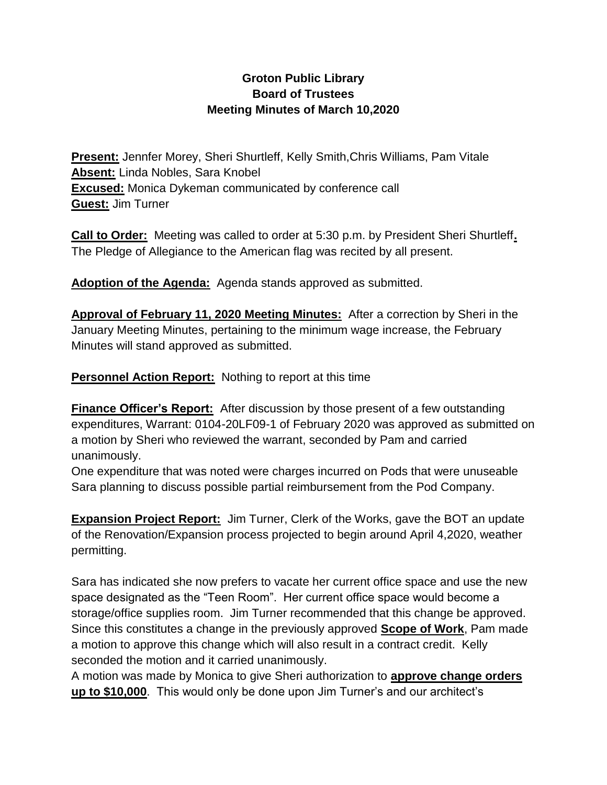### **Groton Public Library Board of Trustees Meeting Minutes of March 10,2020**

**Present:** Jennfer Morey, Sheri Shurtleff, Kelly Smith,Chris Williams, Pam Vitale **Absent:** Linda Nobles, Sara Knobel **Excused:** Monica Dykeman communicated by conference call **Guest:** Jim Turner

**Call to Order:** Meeting was called to order at 5:30 p.m. by President Sheri Shurtleff**.** The Pledge of Allegiance to the American flag was recited by all present.

**Adoption of the Agenda:** Agenda stands approved as submitted.

**Approval of February 11, 2020 Meeting Minutes:** After a correction by Sheri in the January Meeting Minutes, pertaining to the minimum wage increase, the February Minutes will stand approved as submitted.

**Personnel Action Report:** Nothing to report at this time

**Finance Officer's Report:** After discussion by those present of a few outstanding expenditures, Warrant: 0104-20LF09-1 of February 2020 was approved as submitted on a motion by Sheri who reviewed the warrant, seconded by Pam and carried unanimously.

One expenditure that was noted were charges incurred on Pods that were unuseable Sara planning to discuss possible partial reimbursement from the Pod Company.

**Expansion Project Report:** Jim Turner, Clerk of the Works, gave the BOT an update of the Renovation/Expansion process projected to begin around April 4,2020, weather permitting.

Sara has indicated she now prefers to vacate her current office space and use the new space designated as the "Teen Room". Her current office space would become a storage/office supplies room. Jim Turner recommended that this change be approved. Since this constitutes a change in the previously approved **Scope of Work**, Pam made a motion to approve this change which will also result in a contract credit. Kelly seconded the motion and it carried unanimously.

A motion was made by Monica to give Sheri authorization to **approve change orders up to \$10,000**. This would only be done upon Jim Turner's and our architect's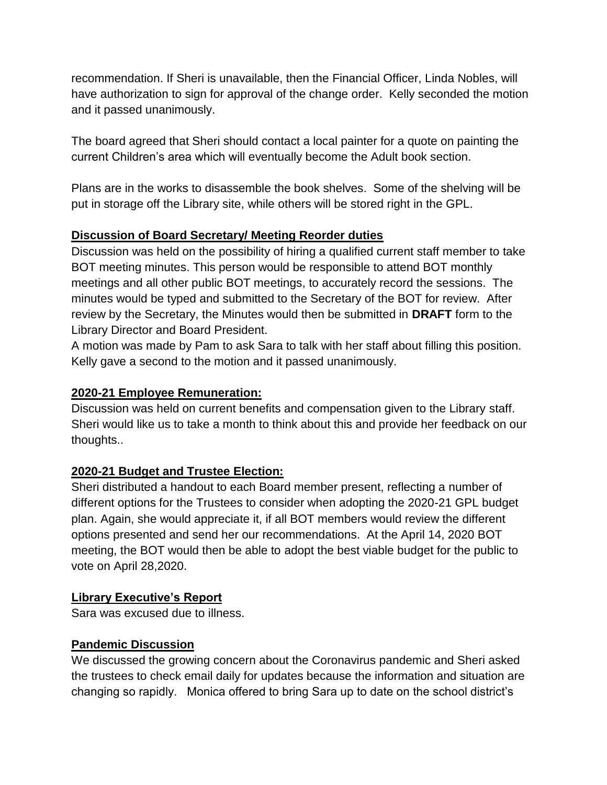recommendation. If Sheri is unavailable, then the Financial Officer, Linda Nobles, will have authorization to sign for approval of the change order. Kelly seconded the motion and it passed unanimously.

The board agreed that Sheri should contact a local painter for a quote on painting the current Children's area which will eventually become the Adult book section.

Plans are in the works to disassemble the book shelves. Some of the shelving will be put in storage off the Library site, while others will be stored right in the GPL.

## **Discussion of Board Secretary/ Meeting Reorder duties**

Discussion was held on the possibility of hiring a qualified current staff member to take BOT meeting minutes. This person would be responsible to attend BOT monthly meetings and all other public BOT meetings, to accurately record the sessions. The minutes would be typed and submitted to the Secretary of the BOT for review. After review by the Secretary, the Minutes would then be submitted in **DRAFT** form to the Library Director and Board President.

A motion was made by Pam to ask Sara to talk with her staff about filling this position. Kelly gave a second to the motion and it passed unanimously.

### **2020-21 Employee Remuneration:**

Discussion was held on current benefits and compensation given to the Library staff. Sheri would like us to take a month to think about this and provide her feedback on our thoughts..

# **2020-21 Budget and Trustee Election:**

Sheri distributed a handout to each Board member present, reflecting a number of different options for the Trustees to consider when adopting the 2020-21 GPL budget plan. Again, she would appreciate it, if all BOT members would review the different options presented and send her our recommendations. At the April 14, 2020 BOT meeting, the BOT would then be able to adopt the best viable budget for the public to vote on April 28,2020.

#### **Library Executive's Report**

Sara was excused due to illness.

#### **Pandemic Discussion**

We discussed the growing concern about the Coronavirus pandemic and Sheri asked the trustees to check email daily for updates because the information and situation are changing so rapidly. Monica offered to bring Sara up to date on the school district's